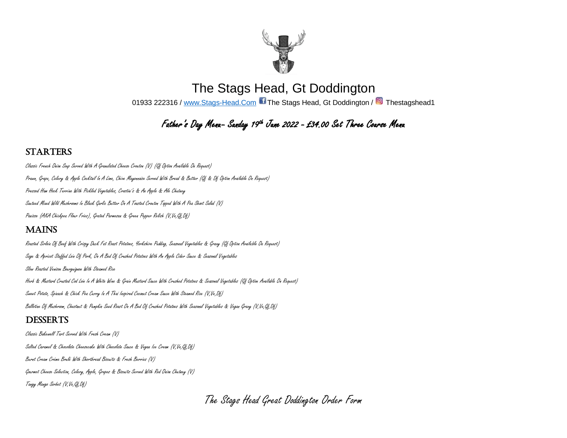

The Stags Head, Gt Doddington 01933 222316 / [www.Stags-Head.Com](http://www.stags-head.com/) Ti The Stags Head, Gt Doddington / <sup>1</sup> Thestagshead1

# Father's Day Mena– Sanday 19<sup>th</sup> Jane 2022 – £34,00 Set Three Coarse Mena

### **STARTERS**

Classic French Onion Soup Served With A Granulated Cheese Crouton (V) (Gf Option Available On Request) Prawn, Grape, Celery & Apple Cocktail In A Lime, Chive Mayonnaise Served With Bread & Butter (Gf & Df Option Available On Request) Pressed Ham Hock Terrine With Pickled Vegetables, Crostini's & An Apple & Ale Chutney Sauteed Mixed Wild Mushrooms In Black Garlic Butter On A Toasted Crouton Topped With A Pea Shoot Salad (V) Panisse (AKA Chickpea Flour Fries), Grated Parmesan & Green Pepper Relish (V,Ve,Gf,Df)

## **MAINS**

Roasted Sirloin Of Beef With Crispy Duck Fat Roast Potatoes, Yorkshire Pudding, Seasonal Vegetables & Gravy (Gf Option Available On Request) Sage & Apricot Stuffed Loin Of Pork, On A Bed Of Crushed Potatoes With An Apple Cider Sauce & Seasonal Vegetables Slow Roasted Venison Bourguignon With Steamed Rice Herb & Mustard Crusted Cod Loin In A White Wine & Grain Mustard Sauce With Crushed Potatoes & Seasonal Vegetables (Gf Option Available On Request) Sweet Potato, Spinach & Chick Pea Curry In A Thai Inspired Coconut Cream Sauce With Steamed Rice (V,Ve,Df) Ballotine Of Mushroom, Chestnut & Pumpkin Seed Roast On A Bed Of Crushed Potatoes With Seasonal Vegetables & Vegan Gravy (V,Ve,Gf,Df)

## **DESSERTS**

Classic Bakewell Tart Served With Fresh Cream (V) Salted Caramel & Chocolate Cheesecake With Chocolate Sauce & Vegan Ice Cream (V,Ve,Gf,Df) Burnt Cream Crème Brulé With Shortbread Biscuits & Fresh Berries (V) Gourmet Cheese Selection, Celery, Apple, Grapes & Biscuits Served With Red Onion Chutney (V) Tangy Mango Sorbet (V,Ve,Gf,Df)

The Stags Head Great Doddington Order Form